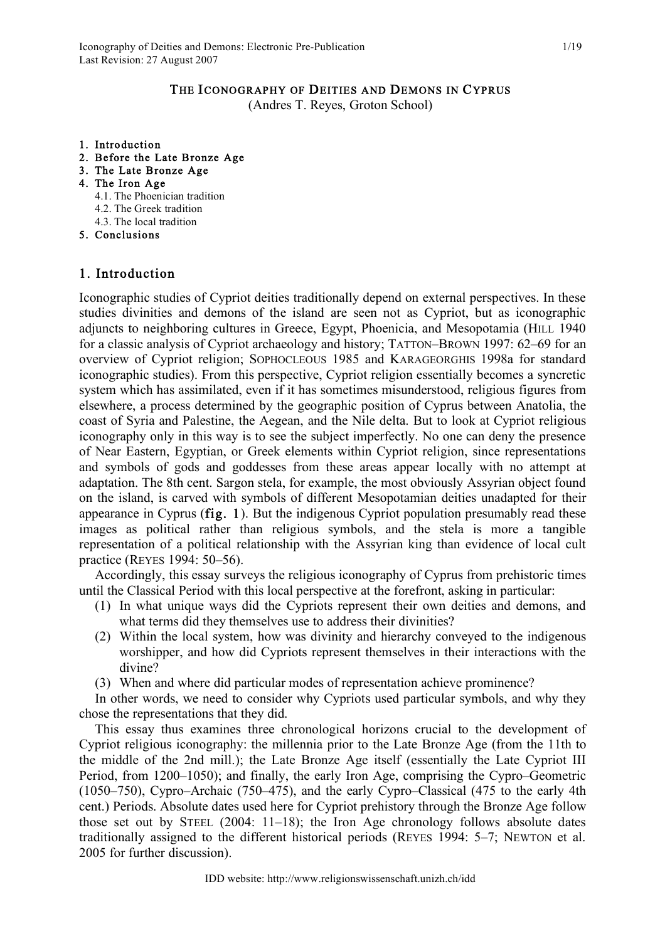(Andres T. Reyes, Groton School)

- 1. Introduction
- 2. Before the Late Bronze Age
- 3. The Late Bronze Age
- 4. The Iron Age
	- 4.1. The Phoenician tradition
	- 4.2. The Greek tradition
	- 4.3. The local tradition
- 5. Conclusions

## 1. Introduction

Iconographic studies of Cypriot deities traditionally depend on external perspectives. In these studies divinities and demons of the island are seen not as Cypriot, but as iconographic adjuncts to neighboring cultures in Greece, Egypt, Phoenicia, and Mesopotamia (HILL 1940 for a classic analysis of Cypriot archaeology and history; TATTON–BROWN 1997: 62–69 for an overview of Cypriot religion; SOPHOCLEOUS 1985 and KARAGEORGHIS 1998a for standard iconographic studies). From this perspective, Cypriot religion essentially becomes a syncretic system which has assimilated, even if it has sometimes misunderstood, religious figures from elsewhere, a process determined by the geographic position of Cyprus between Anatolia, the coast of Syria and Palestine, the Aegean, and the Nile delta. But to look at Cypriot religious iconography only in this way is to see the subject imperfectly. No one can deny the presence of Near Eastern, Egyptian, or Greek elements within Cypriot religion, since representations and symbols of gods and goddesses from these areas appear locally with no attempt at adaptation. The 8th cent. Sargon stela, for example, the most obviously Assyrian object found on the island, is carved with symbols of different Mesopotamian deities unadapted for their appearance in Cyprus (fig. 1). But the indigenous Cypriot population presumably read these images as political rather than religious symbols, and the stela is more a tangible representation of a political relationship with the Assyrian king than evidence of local cult practice (REYES 1994: 50–56).

Accordingly, this essay surveys the religious iconography of Cyprus from prehistoric times until the Classical Period with this local perspective at the forefront, asking in particular:

- (1) In what unique ways did the Cypriots represent their own deities and demons, and what terms did they themselves use to address their divinities?
- (2) Within the local system, how was divinity and hierarchy conveyed to the indigenous worshipper, and how did Cypriots represent themselves in their interactions with the divine?
- (3) When and where did particular modes of representation achieve prominence?

In other words, we need to consider why Cypriots used particular symbols, and why they chose the representations that they did.

This essay thus examines three chronological horizons crucial to the development of Cypriot religious iconography: the millennia prior to the Late Bronze Age (from the 11th to the middle of the 2nd mill.); the Late Bronze Age itself (essentially the Late Cypriot III Period, from 1200–1050); and finally, the early Iron Age, comprising the Cypro–Geometric (1050–750), Cypro–Archaic (750–475), and the early Cypro–Classical (475 to the early 4th cent.) Periods. Absolute dates used here for Cypriot prehistory through the Bronze Age follow those set out by STEEL (2004: 11–18); the Iron Age chronology follows absolute dates traditionally assigned to the different historical periods (REYES 1994: 5–7; NEWTON et al. 2005 for further discussion).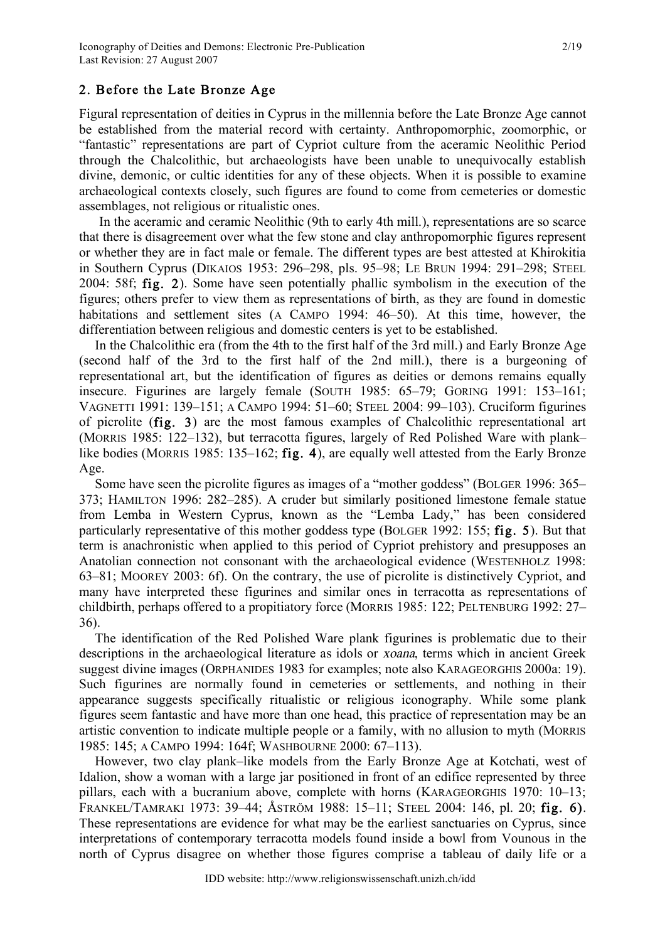## 2. Before the Late Bronze Age

Figural representation of deities in Cyprus in the millennia before the Late Bronze Age cannot be established from the material record with certainty. Anthropomorphic, zoomorphic, or "fantastic" representations are part of Cypriot culture from the aceramic Neolithic Period through the Chalcolithic, but archaeologists have been unable to unequivocally establish divine, demonic, or cultic identities for any of these objects. When it is possible to examine archaeological contexts closely, such figures are found to come from cemeteries or domestic assemblages, not religious or ritualistic ones.

In the aceramic and ceramic Neolithic (9th to early 4th mill.), representations are so scarce that there is disagreement over what the few stone and clay anthropomorphic figures represent or whether they are in fact male or female. The different types are best attested at Khirokitia in Southern Cyprus (DIKAIOS 1953: 296–298, pls. 95–98; LE BRUN 1994: 291–298; STEEL 2004: 58f; fig. 2). Some have seen potentially phallic symbolism in the execution of the figures; others prefer to view them as representations of birth, as they are found in domestic habitations and settlement sites (A CAMPO 1994: 46–50). At this time, however, the differentiation between religious and domestic centers is yet to be established.

In the Chalcolithic era (from the 4th to the first half of the 3rd mill.) and Early Bronze Age (second half of the 3rd to the first half of the 2nd mill.), there is a burgeoning of representational art, but the identification of figures as deities or demons remains equally insecure. Figurines are largely female (SOUTH 1985: 65–79; GORING 1991: 153–161; VAGNETTI 1991: 139–151; A CAMPO 1994: 51–60; STEEL 2004: 99–103). Cruciform figurines of picrolite (fig. 3) are the most famous examples of Chalcolithic representational art (MORRIS 1985: 122–132), but terracotta figures, largely of Red Polished Ware with plank– like bodies (MORRIS 1985: 135–162; fig. 4), are equally well attested from the Early Bronze Age.

Some have seen the picrolite figures as images of a "mother goddess" (BOLGER 1996: 365– 373; HAMILTON 1996: 282–285). A cruder but similarly positioned limestone female statue from Lemba in Western Cyprus, known as the "Lemba Lady," has been considered particularly representative of this mother goddess type (BOLGER 1992: 155; fig. 5). But that term is anachronistic when applied to this period of Cypriot prehistory and presupposes an Anatolian connection not consonant with the archaeological evidence (WESTENHOLZ 1998: 63–81; MOOREY 2003: 6f). On the contrary, the use of picrolite is distinctively Cypriot, and many have interpreted these figurines and similar ones in terracotta as representations of childbirth, perhaps offered to a propitiatory force (MORRIS 1985: 122; PELTENBURG 1992: 27– 36).

The identification of the Red Polished Ware plank figurines is problematic due to their descriptions in the archaeological literature as idols or xoana, terms which in ancient Greek suggest divine images (ORPHANIDES 1983 for examples; note also KARAGEORGHIS 2000a: 19). Such figurines are normally found in cemeteries or settlements, and nothing in their appearance suggests specifically ritualistic or religious iconography. While some plank figures seem fantastic and have more than one head, this practice of representation may be an artistic convention to indicate multiple people or a family, with no allusion to myth (MORRIS 1985: 145; A CAMPO 1994: 164f; WASHBOURNE 2000: 67–113).

However, two clay plank–like models from the Early Bronze Age at Kotchati, west of Idalion, show a woman with a large jar positioned in front of an edifice represented by three pillars, each with a bucranium above, complete with horns (KARAGEORGHIS 1970: 10–13; FRANKEL/TAMRAKI 1973: 39–44; ÅSTRÖM 1988: 15–11; STEEL 2004: 146, pl. 20; fig. 6). These representations are evidence for what may be the earliest sanctuaries on Cyprus, since interpretations of contemporary terracotta models found inside a bowl from Vounous in the north of Cyprus disagree on whether those figures comprise a tableau of daily life or a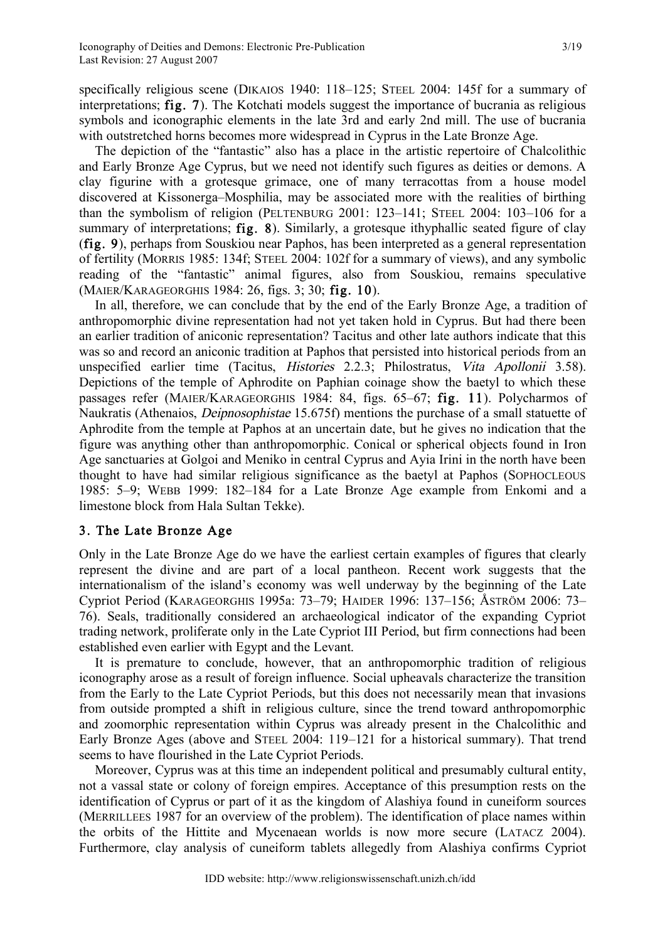specifically religious scene (DIKAIOS 1940: 118–125; STEEL 2004: 145f for a summary of interpretations; fig. 7). The Kotchati models suggest the importance of bucrania as religious symbols and iconographic elements in the late 3rd and early 2nd mill. The use of bucrania with outstretched horns becomes more widespread in Cyprus in the Late Bronze Age.

The depiction of the "fantastic" also has a place in the artistic repertoire of Chalcolithic and Early Bronze Age Cyprus, but we need not identify such figures as deities or demons. A clay figurine with a grotesque grimace, one of many terracottas from a house model discovered at Kissonerga–Mosphilia, may be associated more with the realities of birthing than the symbolism of religion (PELTENBURG 2001: 123–141; STEEL 2004: 103–106 for a summary of interpretations; **fig. 8**). Similarly, a grotesque ithyphallic seated figure of clay (fig. 9), perhaps from Souskiou near Paphos, has been interpreted as a general representation of fertility (MORRIS 1985: 134f; STEEL 2004: 102f for a summary of views), and any symbolic reading of the "fantastic" animal figures, also from Souskiou, remains speculative (MAIER/KARAGEORGHIS 1984: 26, figs. 3; 30; fig. 10).

In all, therefore, we can conclude that by the end of the Early Bronze Age, a tradition of anthropomorphic divine representation had not yet taken hold in Cyprus. But had there been an earlier tradition of aniconic representation? Tacitus and other late authors indicate that this was so and record an aniconic tradition at Paphos that persisted into historical periods from an unspecified earlier time (Tacitus, Histories 2.2.3; Philostratus, Vita Apollonii 3.58). Depictions of the temple of Aphrodite on Paphian coinage show the baetyl to which these passages refer (MAIER/KARAGEORGHIS 1984: 84, figs. 65–67; fig. 11). Polycharmos of Naukratis (Athenaios, Deipnosophistae 15.675f) mentions the purchase of a small statuette of Aphrodite from the temple at Paphos at an uncertain date, but he gives no indication that the figure was anything other than anthropomorphic. Conical or spherical objects found in Iron Age sanctuaries at Golgoi and Meniko in central Cyprus and Ayia Irini in the north have been thought to have had similar religious significance as the baetyl at Paphos (SOPHOCLEOUS 1985: 5–9; WEBB 1999: 182–184 for a Late Bronze Age example from Enkomi and a limestone block from Hala Sultan Tekke).

## 3. The Late Bronze Age

Only in the Late Bronze Age do we have the earliest certain examples of figures that clearly represent the divine and are part of a local pantheon. Recent work suggests that the internationalism of the island's economy was well underway by the beginning of the Late Cypriot Period (KARAGEORGHIS 1995a: 73–79; HAIDER 1996: 137–156; ÅSTRÖM 2006: 73– 76). Seals, traditionally considered an archaeological indicator of the expanding Cypriot trading network, proliferate only in the Late Cypriot III Period, but firm connections had been established even earlier with Egypt and the Levant.

It is premature to conclude, however, that an anthropomorphic tradition of religious iconography arose as a result of foreign influence. Social upheavals characterize the transition from the Early to the Late Cypriot Periods, but this does not necessarily mean that invasions from outside prompted a shift in religious culture, since the trend toward anthropomorphic and zoomorphic representation within Cyprus was already present in the Chalcolithic and Early Bronze Ages (above and STEEL 2004: 119–121 for a historical summary). That trend seems to have flourished in the Late Cypriot Periods.

Moreover, Cyprus was at this time an independent political and presumably cultural entity, not a vassal state or colony of foreign empires. Acceptance of this presumption rests on the identification of Cyprus or part of it as the kingdom of Alashiya found in cuneiform sources (MERRILLEES 1987 for an overview of the problem). The identification of place names within the orbits of the Hittite and Mycenaean worlds is now more secure (LATACZ 2004). Furthermore, clay analysis of cuneiform tablets allegedly from Alashiya confirms Cypriot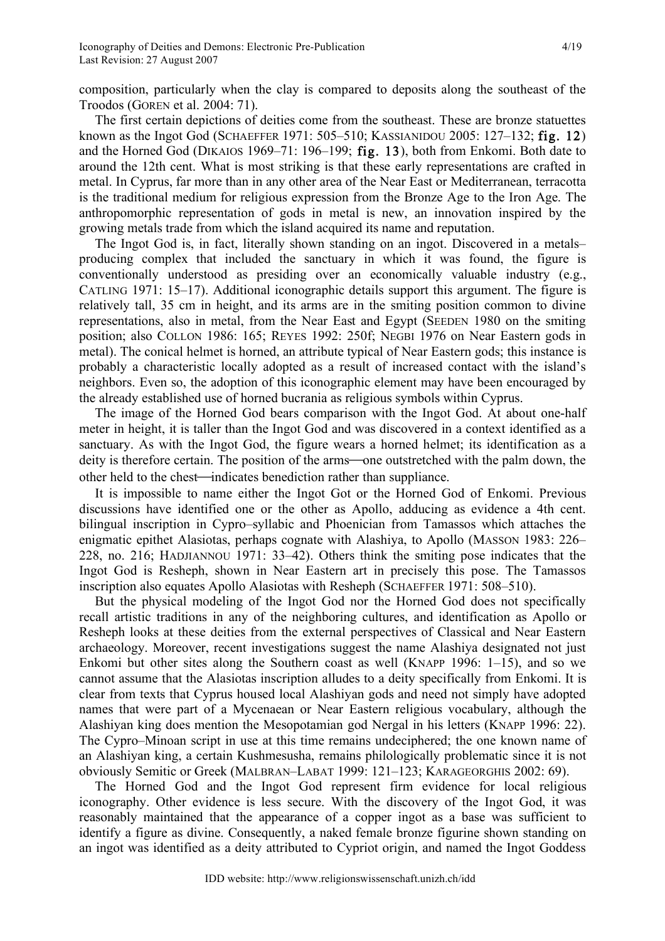composition, particularly when the clay is compared to deposits along the southeast of the Troodos (GOREN et al. 2004: 71).

The first certain depictions of deities come from the southeast. These are bronze statuettes known as the Ingot God (SCHAEFFER 1971: 505–510; KASSIANIDOU 2005: 127–132; fig. 12) and the Horned God (DIKAIOS 1969–71: 196–199; fig. 13), both from Enkomi. Both date to around the 12th cent. What is most striking is that these early representations are crafted in metal. In Cyprus, far more than in any other area of the Near East or Mediterranean, terracotta is the traditional medium for religious expression from the Bronze Age to the Iron Age. The anthropomorphic representation of gods in metal is new, an innovation inspired by the growing metals trade from which the island acquired its name and reputation.

The Ingot God is, in fact, literally shown standing on an ingot. Discovered in a metals– producing complex that included the sanctuary in which it was found, the figure is conventionally understood as presiding over an economically valuable industry (e.g., CATLING 1971: 15–17). Additional iconographic details support this argument. The figure is relatively tall, 35 cm in height, and its arms are in the smiting position common to divine representations, also in metal, from the Near East and Egypt (SEEDEN 1980 on the smiting position; also COLLON 1986: 165; REYES 1992: 250f; NEGBI 1976 on Near Eastern gods in metal). The conical helmet is horned, an attribute typical of Near Eastern gods; this instance is probably a characteristic locally adopted as a result of increased contact with the island's neighbors. Even so, the adoption of this iconographic element may have been encouraged by the already established use of horned bucrania as religious symbols within Cyprus.

The image of the Horned God bears comparison with the Ingot God. At about one-half meter in height, it is taller than the Ingot God and was discovered in a context identified as a sanctuary. As with the Ingot God, the figure wears a horned helmet; its identification as a deity is therefore certain. The position of the arms—one outstretched with the palm down, the other held to the chest—indicates benediction rather than suppliance.

It is impossible to name either the Ingot Got or the Horned God of Enkomi. Previous discussions have identified one or the other as Apollo, adducing as evidence a 4th cent. bilingual inscription in Cypro–syllabic and Phoenician from Tamassos which attaches the enigmatic epithet Alasiotas, perhaps cognate with Alashiya, to Apollo (MASSON 1983: 226– 228, no. 216; HADJIANNOU 1971: 33–42). Others think the smiting pose indicates that the Ingot God is Resheph, shown in Near Eastern art in precisely this pose. The Tamassos inscription also equates Apollo Alasiotas with Resheph (SCHAEFFER 1971: 508–510).

But the physical modeling of the Ingot God nor the Horned God does not specifically recall artistic traditions in any of the neighboring cultures, and identification as Apollo or Resheph looks at these deities from the external perspectives of Classical and Near Eastern archaeology. Moreover, recent investigations suggest the name Alashiya designated not just Enkomi but other sites along the Southern coast as well (KNAPP 1996: 1–15), and so we cannot assume that the Alasiotas inscription alludes to a deity specifically from Enkomi. It is clear from texts that Cyprus housed local Alashiyan gods and need not simply have adopted names that were part of a Mycenaean or Near Eastern religious vocabulary, although the Alashiyan king does mention the Mesopotamian god Nergal in his letters (KNAPP 1996: 22). The Cypro–Minoan script in use at this time remains undeciphered; the one known name of an Alashiyan king, a certain Kushmesusha, remains philologically problematic since it is not obviously Semitic or Greek (MALBRAN–LABAT 1999: 121–123; KARAGEORGHIS 2002: 69).

The Horned God and the Ingot God represent firm evidence for local religious iconography. Other evidence is less secure. With the discovery of the Ingot God, it was reasonably maintained that the appearance of a copper ingot as a base was sufficient to identify a figure as divine. Consequently, a naked female bronze figurine shown standing on an ingot was identified as a deity attributed to Cypriot origin, and named the Ingot Goddess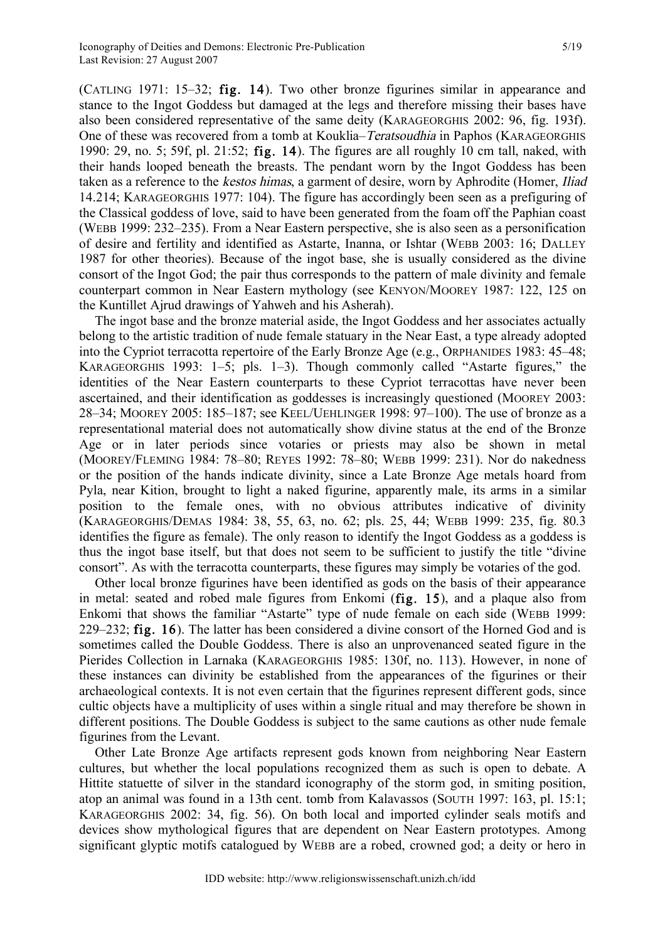(CATLING 1971: 15–32; fig. 14). Two other bronze figurines similar in appearance and stance to the Ingot Goddess but damaged at the legs and therefore missing their bases have also been considered representative of the same deity (KARAGEORGHIS 2002: 96, fig. 193f). One of these was recovered from a tomb at Kouklia–Teratsoudhia in Paphos (KARAGEORGHIS 1990: 29, no. 5; 59f, pl. 21:52; fig. 14). The figures are all roughly 10 cm tall, naked, with their hands looped beneath the breasts. The pendant worn by the Ingot Goddess has been taken as a reference to the *kestos himas*, a garment of desire, worn by Aphrodite (Homer, *Iliad*) 14.214; KARAGEORGHIS 1977: 104). The figure has accordingly been seen as a prefiguring of the Classical goddess of love, said to have been generated from the foam off the Paphian coast (WEBB 1999: 232–235). From a Near Eastern perspective, she is also seen as a personification of desire and fertility and identified as Astarte, Inanna, or Ishtar (WEBB 2003: 16; DALLEY 1987 for other theories). Because of the ingot base, she is usually considered as the divine consort of the Ingot God; the pair thus corresponds to the pattern of male divinity and female counterpart common in Near Eastern mythology (see KENYON/MOOREY 1987: 122, 125 on the Kuntillet Ajrud drawings of Yahweh and his Asherah).

The ingot base and the bronze material aside, the Ingot Goddess and her associates actually belong to the artistic tradition of nude female statuary in the Near East, a type already adopted into the Cypriot terracotta repertoire of the Early Bronze Age (e.g., ORPHANIDES 1983: 45–48; KARAGEORGHIS 1993: 1–5; pls. 1–3). Though commonly called "Astarte figures," the identities of the Near Eastern counterparts to these Cypriot terracottas have never been ascertained, and their identification as goddesses is increasingly questioned (MOOREY 2003: 28–34; MOOREY 2005: 185–187; see KEEL/UEHLINGER 1998: 97–100). The use of bronze as a representational material does not automatically show divine status at the end of the Bronze Age or in later periods since votaries or priests may also be shown in metal (MOOREY/FLEMING 1984: 78–80; REYES 1992: 78–80; WEBB 1999: 231). Nor do nakedness or the position of the hands indicate divinity, since a Late Bronze Age metals hoard from Pyla, near Kition, brought to light a naked figurine, apparently male, its arms in a similar position to the female ones, with no obvious attributes indicative of divinity (KARAGEORGHIS/DEMAS 1984: 38, 55, 63, no. 62; pls. 25, 44; WEBB 1999: 235, fig. 80.3 identifies the figure as female). The only reason to identify the Ingot Goddess as a goddess is thus the ingot base itself, but that does not seem to be sufficient to justify the title "divine consort". As with the terracotta counterparts, these figures may simply be votaries of the god.

Other local bronze figurines have been identified as gods on the basis of their appearance in metal: seated and robed male figures from Enkomi (fig. 15), and a plaque also from Enkomi that shows the familiar "Astarte" type of nude female on each side (WEBB 1999: 229–232; fig. 16). The latter has been considered a divine consort of the Horned God and is sometimes called the Double Goddess. There is also an unprovenanced seated figure in the Pierides Collection in Larnaka (KARAGEORGHIS 1985: 130f, no. 113). However, in none of these instances can divinity be established from the appearances of the figurines or their archaeological contexts. It is not even certain that the figurines represent different gods, since cultic objects have a multiplicity of uses within a single ritual and may therefore be shown in different positions. The Double Goddess is subject to the same cautions as other nude female figurines from the Levant.

Other Late Bronze Age artifacts represent gods known from neighboring Near Eastern cultures, but whether the local populations recognized them as such is open to debate. A Hittite statuette of silver in the standard iconography of the storm god, in smiting position, atop an animal was found in a 13th cent. tomb from Kalavassos (SOUTH 1997: 163, pl. 15:1; KARAGEORGHIS 2002: 34, fig. 56). On both local and imported cylinder seals motifs and devices show mythological figures that are dependent on Near Eastern prototypes. Among significant glyptic motifs catalogued by WEBB are a robed, crowned god; a deity or hero in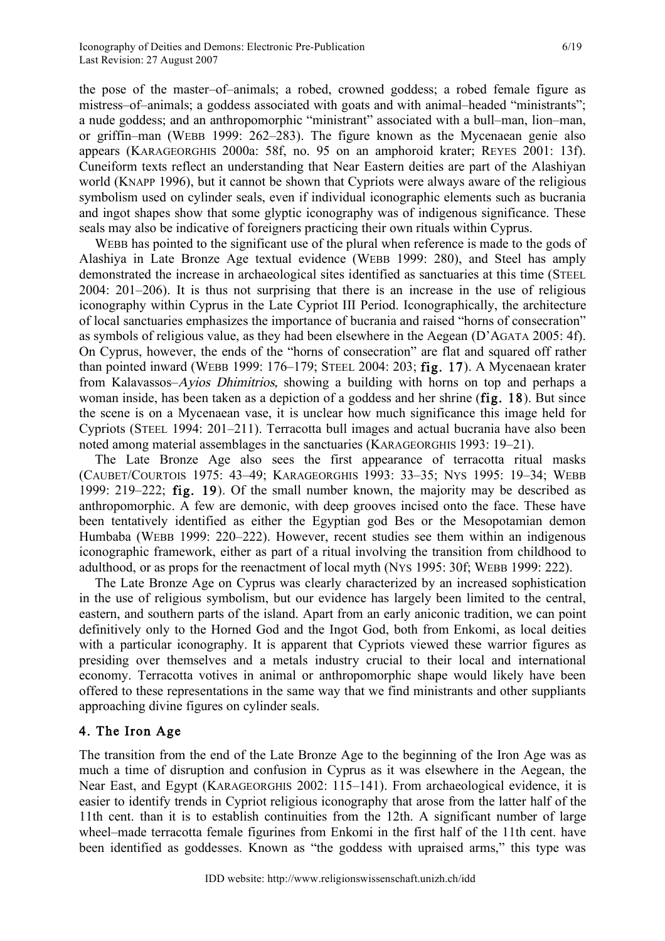the pose of the master–of–animals; a robed, crowned goddess; a robed female figure as mistress–of–animals; a goddess associated with goats and with animal–headed "ministrants"; a nude goddess; and an anthropomorphic "ministrant" associated with a bull–man, lion–man, or griffin–man (WEBB 1999: 262–283). The figure known as the Mycenaean genie also appears (KARAGEORGHIS 2000a: 58f, no. 95 on an amphoroid krater; REYES 2001: 13f). Cuneiform texts reflect an understanding that Near Eastern deities are part of the Alashiyan world (KNAPP 1996), but it cannot be shown that Cypriots were always aware of the religious symbolism used on cylinder seals, even if individual iconographic elements such as bucrania and ingot shapes show that some glyptic iconography was of indigenous significance. These seals may also be indicative of foreigners practicing their own rituals within Cyprus.

WEBB has pointed to the significant use of the plural when reference is made to the gods of Alashiya in Late Bronze Age textual evidence (WEBB 1999: 280), and Steel has amply demonstrated the increase in archaeological sites identified as sanctuaries at this time (STEEL 2004: 201–206). It is thus not surprising that there is an increase in the use of religious iconography within Cyprus in the Late Cypriot III Period. Iconographically, the architecture of local sanctuaries emphasizes the importance of bucrania and raised "horns of consecration" as symbols of religious value, as they had been elsewhere in the Aegean (D'AGATA 2005: 4f). On Cyprus, however, the ends of the "horns of consecration" are flat and squared off rather than pointed inward (WEBB 1999: 176–179; STEEL 2004: 203; fig. 17). A Mycenaean krater from Kalavassos–Ayios Dhimitrios, showing a building with horns on top and perhaps a woman inside, has been taken as a depiction of a goddess and her shrine (fig. 18). But since the scene is on a Mycenaean vase, it is unclear how much significance this image held for Cypriots (STEEL 1994: 201–211). Terracotta bull images and actual bucrania have also been noted among material assemblages in the sanctuaries (KARAGEORGHIS 1993: 19–21).

The Late Bronze Age also sees the first appearance of terracotta ritual masks (CAUBET/COURTOIS 1975: 43–49; KARAGEORGHIS 1993: 33–35; NYS 1995: 19–34; WEBB 1999: 219–222; fig. 19). Of the small number known, the majority may be described as anthropomorphic. A few are demonic, with deep grooves incised onto the face. These have been tentatively identified as either the Egyptian god Bes or the Mesopotamian demon Humbaba (WEBB 1999: 220–222). However, recent studies see them within an indigenous iconographic framework, either as part of a ritual involving the transition from childhood to adulthood, or as props for the reenactment of local myth (NYS 1995: 30f; WEBB 1999: 222).

The Late Bronze Age on Cyprus was clearly characterized by an increased sophistication in the use of religious symbolism, but our evidence has largely been limited to the central, eastern, and southern parts of the island. Apart from an early aniconic tradition, we can point definitively only to the Horned God and the Ingot God, both from Enkomi, as local deities with a particular iconography. It is apparent that Cypriots viewed these warrior figures as presiding over themselves and a metals industry crucial to their local and international economy. Terracotta votives in animal or anthropomorphic shape would likely have been offered to these representations in the same way that we find ministrants and other suppliants approaching divine figures on cylinder seals.

# 4. The Iron Age

The transition from the end of the Late Bronze Age to the beginning of the Iron Age was as much a time of disruption and confusion in Cyprus as it was elsewhere in the Aegean, the Near East, and Egypt (KARAGEORGHIS 2002: 115–141). From archaeological evidence, it is easier to identify trends in Cypriot religious iconography that arose from the latter half of the 11th cent. than it is to establish continuities from the 12th. A significant number of large wheel–made terracotta female figurines from Enkomi in the first half of the 11th cent. have been identified as goddesses. Known as "the goddess with upraised arms," this type was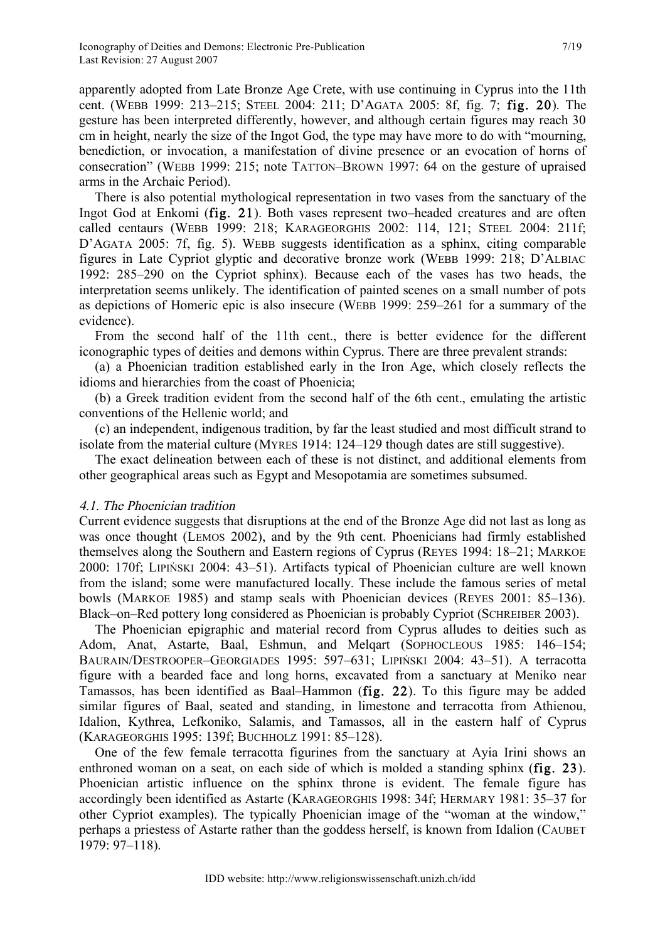apparently adopted from Late Bronze Age Crete, with use continuing in Cyprus into the 11th cent. (WEBB 1999: 213–215; STEEL 2004: 211; D'AGATA 2005: 8f, fig. 7; fig. 20). The gesture has been interpreted differently, however, and although certain figures may reach 30 cm in height, nearly the size of the Ingot God, the type may have more to do with "mourning, benediction, or invocation, a manifestation of divine presence or an evocation of horns of consecration" (WEBB 1999: 215; note TATTON–BROWN 1997: 64 on the gesture of upraised arms in the Archaic Period).

There is also potential mythological representation in two vases from the sanctuary of the Ingot God at Enkomi (fig. 21). Both vases represent two–headed creatures and are often called centaurs (WEBB 1999: 218; KARAGEORGHIS 2002: 114, 121; STEEL 2004: 211f; D'AGATA 2005: 7f, fig. 5). WEBB suggests identification as a sphinx, citing comparable figures in Late Cypriot glyptic and decorative bronze work (WEBB 1999: 218; D'ALBIAC 1992: 285–290 on the Cypriot sphinx). Because each of the vases has two heads, the interpretation seems unlikely. The identification of painted scenes on a small number of pots as depictions of Homeric epic is also insecure (WEBB 1999: 259–261 for a summary of the evidence).

From the second half of the 11th cent., there is better evidence for the different iconographic types of deities and demons within Cyprus. There are three prevalent strands:

(a) a Phoenician tradition established early in the Iron Age, which closely reflects the idioms and hierarchies from the coast of Phoenicia;

(b) a Greek tradition evident from the second half of the 6th cent., emulating the artistic conventions of the Hellenic world; and

(c) an independent, indigenous tradition, by far the least studied and most difficult strand to isolate from the material culture (MYRES 1914: 124–129 though dates are still suggestive).

The exact delineation between each of these is not distinct, and additional elements from other geographical areas such as Egypt and Mesopotamia are sometimes subsumed.

#### 4.1. The Phoenician tradition

Current evidence suggests that disruptions at the end of the Bronze Age did not last as long as was once thought (LEMOS 2002), and by the 9th cent. Phoenicians had firmly established themselves along the Southern and Eastern regions of Cyprus (REYES 1994: 18–21; MARKOE 2000: 170f; LIPIŃSKI 2004: 43–51). Artifacts typical of Phoenician culture are well known from the island; some were manufactured locally. These include the famous series of metal bowls (MARKOE 1985) and stamp seals with Phoenician devices (REYES 2001: 85–136). Black–on–Red pottery long considered as Phoenician is probably Cypriot (SCHREIBER 2003).

The Phoenician epigraphic and material record from Cyprus alludes to deities such as Adom, Anat, Astarte, Baal, Eshmun, and Melqart (SOPHOCLEOUS 1985: 146–154; BAURAIN/DESTROOPER–GEORGIADES 1995: 597–631; LIPIŃSKI 2004: 43–51). A terracotta figure with a bearded face and long horns, excavated from a sanctuary at Meniko near Tamassos, has been identified as Baal–Hammon (fig. 22). To this figure may be added similar figures of Baal, seated and standing, in limestone and terracotta from Athienou, Idalion, Kythrea, Lefkoniko, Salamis, and Tamassos, all in the eastern half of Cyprus (KARAGEORGHIS 1995: 139f; BUCHHOLZ 1991: 85–128).

One of the few female terracotta figurines from the sanctuary at Ayia Irini shows an enthroned woman on a seat, on each side of which is molded a standing sphinx (fig. 23). Phoenician artistic influence on the sphinx throne is evident. The female figure has accordingly been identified as Astarte (KARAGEORGHIS 1998: 34f; HERMARY 1981: 35–37 for other Cypriot examples). The typically Phoenician image of the "woman at the window," perhaps a priestess of Astarte rather than the goddess herself, is known from Idalion (CAUBET 1979: 97–118).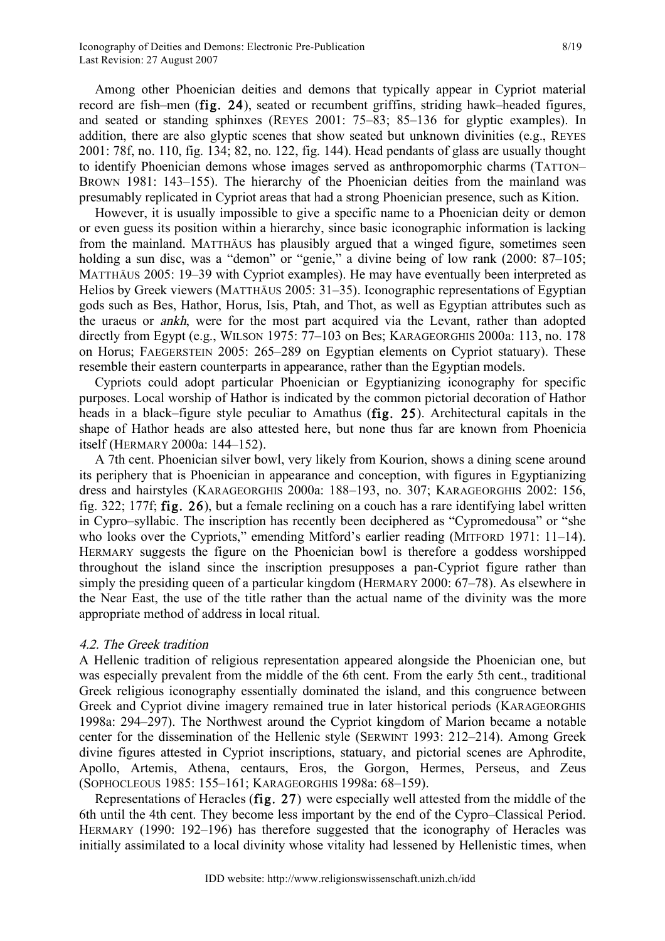Among other Phoenician deities and demons that typically appear in Cypriot material record are fish–men (fig. 24), seated or recumbent griffins, striding hawk–headed figures, and seated or standing sphinxes (REYES 2001: 75–83; 85–136 for glyptic examples). In addition, there are also glyptic scenes that show seated but unknown divinities (e.g., REYES 2001: 78f, no. 110, fig. 134; 82, no. 122, fig. 144). Head pendants of glass are usually thought to identify Phoenician demons whose images served as anthropomorphic charms (TATTON– BROWN 1981: 143–155). The hierarchy of the Phoenician deities from the mainland was presumably replicated in Cypriot areas that had a strong Phoenician presence, such as Kition.

However, it is usually impossible to give a specific name to a Phoenician deity or demon or even guess its position within a hierarchy, since basic iconographic information is lacking from the mainland. MATTHÄUS has plausibly argued that a winged figure, sometimes seen holding a sun disc, was a "demon" or "genie," a divine being of low rank (2000: 87–105; MATTHÄUS 2005: 19–39 with Cypriot examples). He may have eventually been interpreted as Helios by Greek viewers (MATTHÄUS 2005: 31–35). Iconographic representations of Egyptian gods such as Bes, Hathor, Horus, Isis, Ptah, and Thot, as well as Egyptian attributes such as the uraeus or ankh, were for the most part acquired via the Levant, rather than adopted directly from Egypt (e.g., WILSON 1975: 77–103 on Bes; KARAGEORGHIS 2000a: 113, no. 178 on Horus; FAEGERSTEIN 2005: 265–289 on Egyptian elements on Cypriot statuary). These resemble their eastern counterparts in appearance, rather than the Egyptian models.

Cypriots could adopt particular Phoenician or Egyptianizing iconography for specific purposes. Local worship of Hathor is indicated by the common pictorial decoration of Hathor heads in a black–figure style peculiar to Amathus (fig. 25). Architectural capitals in the shape of Hathor heads are also attested here, but none thus far are known from Phoenicia itself (HERMARY 2000a: 144–152).

A 7th cent. Phoenician silver bowl, very likely from Kourion, shows a dining scene around its periphery that is Phoenician in appearance and conception, with figures in Egyptianizing dress and hairstyles (KARAGEORGHIS 2000a: 188–193, no. 307; KARAGEORGHIS 2002: 156, fig. 322; 177f; fig. 26), but a female reclining on a couch has a rare identifying label written in Cypro–syllabic. The inscription has recently been deciphered as "Cypromedousa" or "she who looks over the Cypriots," emending Mitford's earlier reading (MITFORD 1971: 11–14). HERMARY suggests the figure on the Phoenician bowl is therefore a goddess worshipped throughout the island since the inscription presupposes a pan-Cypriot figure rather than simply the presiding queen of a particular kingdom (HERMARY 2000: 67–78). As elsewhere in the Near East, the use of the title rather than the actual name of the divinity was the more appropriate method of address in local ritual.

#### 4.2. The Greek tradition

A Hellenic tradition of religious representation appeared alongside the Phoenician one, but was especially prevalent from the middle of the 6th cent. From the early 5th cent., traditional Greek religious iconography essentially dominated the island, and this congruence between Greek and Cypriot divine imagery remained true in later historical periods (KARAGEORGHIS 1998a: 294–297). The Northwest around the Cypriot kingdom of Marion became a notable center for the dissemination of the Hellenic style (SERWINT 1993: 212–214). Among Greek divine figures attested in Cypriot inscriptions, statuary, and pictorial scenes are Aphrodite, Apollo, Artemis, Athena, centaurs, Eros, the Gorgon, Hermes, Perseus, and Zeus (SOPHOCLEOUS 1985: 155–161; KARAGEORGHIS 1998a: 68–159).

Representations of Heracles (fig. 27) were especially well attested from the middle of the 6th until the 4th cent. They become less important by the end of the Cypro–Classical Period. HERMARY (1990: 192–196) has therefore suggested that the iconography of Heracles was initially assimilated to a local divinity whose vitality had lessened by Hellenistic times, when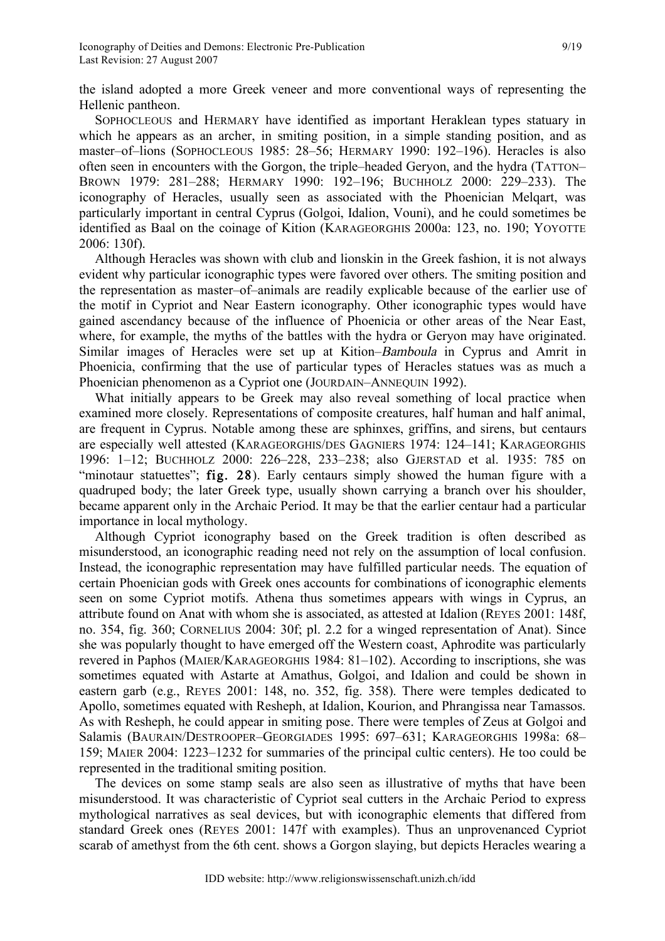the island adopted a more Greek veneer and more conventional ways of representing the Hellenic pantheon.

SOPHOCLEOUS and HERMARY have identified as important Heraklean types statuary in which he appears as an archer, in smiting position, in a simple standing position, and as master–of–lions (SOPHOCLEOUS 1985: 28–56; HERMARY 1990: 192–196). Heracles is also often seen in encounters with the Gorgon, the triple–headed Geryon, and the hydra (TATTON– BROWN 1979: 281–288; HERMARY 1990: 192–196; BUCHHOLZ 2000: 229–233). The iconography of Heracles, usually seen as associated with the Phoenician Melqart, was particularly important in central Cyprus (Golgoi, Idalion, Vouni), and he could sometimes be identified as Baal on the coinage of Kition (KARAGEORGHIS 2000a: 123, no. 190; YOYOTTE 2006: 130f).

Although Heracles was shown with club and lionskin in the Greek fashion, it is not always evident why particular iconographic types were favored over others. The smiting position and the representation as master–of–animals are readily explicable because of the earlier use of the motif in Cypriot and Near Eastern iconography. Other iconographic types would have gained ascendancy because of the influence of Phoenicia or other areas of the Near East, where, for example, the myths of the battles with the hydra or Geryon may have originated. Similar images of Heracles were set up at Kition–Bamboula in Cyprus and Amrit in Phoenicia, confirming that the use of particular types of Heracles statues was as much a Phoenician phenomenon as a Cypriot one (JOURDAIN–ANNEQUIN 1992).

What initially appears to be Greek may also reveal something of local practice when examined more closely. Representations of composite creatures, half human and half animal, are frequent in Cyprus. Notable among these are sphinxes, griffins, and sirens, but centaurs are especially well attested (KARAGEORGHIS/DES GAGNIERS 1974: 124–141; KARAGEORGHIS 1996: 1–12; BUCHHOLZ 2000: 226–228, 233–238; also GJERSTAD et al. 1935: 785 on "minotaur statuettes"; fig. 28). Early centaurs simply showed the human figure with a quadruped body; the later Greek type, usually shown carrying a branch over his shoulder, became apparent only in the Archaic Period. It may be that the earlier centaur had a particular importance in local mythology.

Although Cypriot iconography based on the Greek tradition is often described as misunderstood, an iconographic reading need not rely on the assumption of local confusion. Instead, the iconographic representation may have fulfilled particular needs. The equation of certain Phoenician gods with Greek ones accounts for combinations of iconographic elements seen on some Cypriot motifs. Athena thus sometimes appears with wings in Cyprus, an attribute found on Anat with whom she is associated, as attested at Idalion (REYES 2001: 148f, no. 354, fig. 360; CORNELIUS 2004: 30f; pl. 2.2 for a winged representation of Anat). Since she was popularly thought to have emerged off the Western coast, Aphrodite was particularly revered in Paphos (MAIER/KARAGEORGHIS 1984: 81–102). According to inscriptions, she was sometimes equated with Astarte at Amathus, Golgoi, and Idalion and could be shown in eastern garb (e.g., REYES 2001: 148, no. 352, fig. 358). There were temples dedicated to Apollo, sometimes equated with Resheph, at Idalion, Kourion, and Phrangissa near Tamassos. As with Resheph, he could appear in smiting pose. There were temples of Zeus at Golgoi and Salamis (BAURAIN/DESTROOPER–GEORGIADES 1995: 697–631; KARAGEORGHIS 1998a: 68– 159; MAIER 2004: 1223–1232 for summaries of the principal cultic centers). He too could be represented in the traditional smiting position.

The devices on some stamp seals are also seen as illustrative of myths that have been misunderstood. It was characteristic of Cypriot seal cutters in the Archaic Period to express mythological narratives as seal devices, but with iconographic elements that differed from standard Greek ones (REYES 2001: 147f with examples). Thus an unprovenanced Cypriot scarab of amethyst from the 6th cent. shows a Gorgon slaying, but depicts Heracles wearing a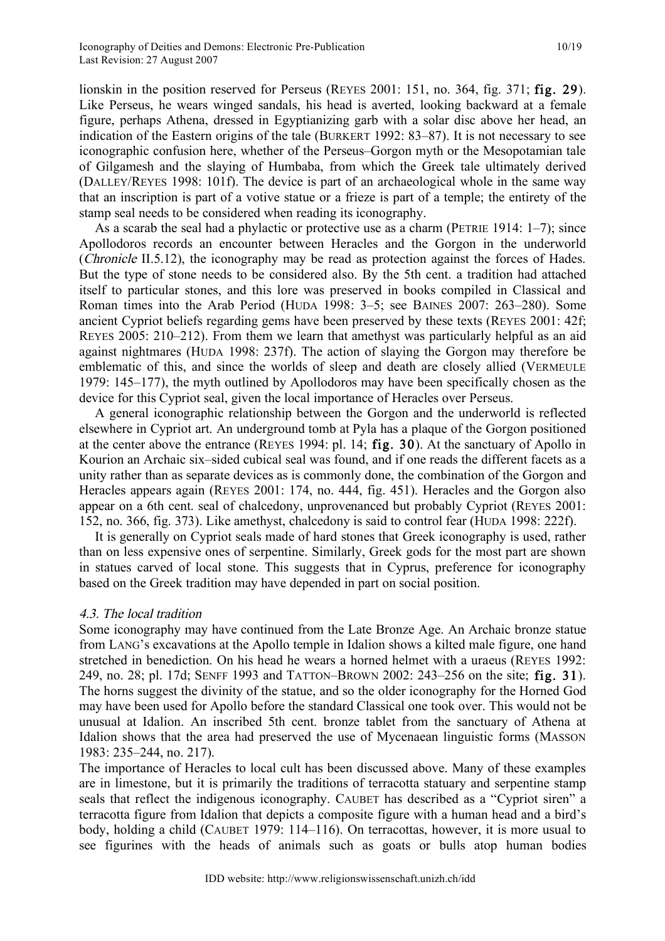lionskin in the position reserved for Perseus (REYES 2001: 151, no. 364, fig. 371; fig. 29). Like Perseus, he wears winged sandals, his head is averted, looking backward at a female figure, perhaps Athena, dressed in Egyptianizing garb with a solar disc above her head, an indication of the Eastern origins of the tale (BURKERT 1992: 83–87). It is not necessary to see iconographic confusion here, whether of the Perseus–Gorgon myth or the Mesopotamian tale of Gilgamesh and the slaying of Humbaba, from which the Greek tale ultimately derived (DALLEY/REYES 1998: 101f). The device is part of an archaeological whole in the same way that an inscription is part of a votive statue or a frieze is part of a temple; the entirety of the stamp seal needs to be considered when reading its iconography.

As a scarab the seal had a phylactic or protective use as a charm (PETRIE 1914: 1–7); since Apollodoros records an encounter between Heracles and the Gorgon in the underworld (Chronicle II.5.12), the iconography may be read as protection against the forces of Hades. But the type of stone needs to be considered also. By the 5th cent. a tradition had attached itself to particular stones, and this lore was preserved in books compiled in Classical and Roman times into the Arab Period (HUDA 1998: 3–5; see BAINES 2007: 263–280). Some ancient Cypriot beliefs regarding gems have been preserved by these texts (REYES 2001: 42f; REYES 2005: 210–212). From them we learn that amethyst was particularly helpful as an aid against nightmares (HUDA 1998: 237f). The action of slaying the Gorgon may therefore be emblematic of this, and since the worlds of sleep and death are closely allied (VERMEULE 1979: 145–177), the myth outlined by Apollodoros may have been specifically chosen as the device for this Cypriot seal, given the local importance of Heracles over Perseus.

A general iconographic relationship between the Gorgon and the underworld is reflected elsewhere in Cypriot art. An underground tomb at Pyla has a plaque of the Gorgon positioned at the center above the entrance (REYES 1994: pl. 14; fig. 30). At the sanctuary of Apollo in Kourion an Archaic six–sided cubical seal was found, and if one reads the different facets as a unity rather than as separate devices as is commonly done, the combination of the Gorgon and Heracles appears again (REYES 2001: 174, no. 444, fig. 451). Heracles and the Gorgon also appear on a 6th cent. seal of chalcedony, unprovenanced but probably Cypriot (REYES 2001: 152, no. 366, fig. 373). Like amethyst, chalcedony is said to control fear (HUDA 1998: 222f).

It is generally on Cypriot seals made of hard stones that Greek iconography is used, rather than on less expensive ones of serpentine. Similarly, Greek gods for the most part are shown in statues carved of local stone. This suggests that in Cyprus, preference for iconography based on the Greek tradition may have depended in part on social position.

#### 4.3. The local tradition

Some iconography may have continued from the Late Bronze Age. An Archaic bronze statue from LANG's excavations at the Apollo temple in Idalion shows a kilted male figure, one hand stretched in benediction. On his head he wears a horned helmet with a uraeus (REYES 1992: 249, no. 28; pl. 17d; SENFF 1993 and TATTON–BROWN 2002: 243–256 on the site; fig. 31). The horns suggest the divinity of the statue, and so the older iconography for the Horned God may have been used for Apollo before the standard Classical one took over. This would not be unusual at Idalion. An inscribed 5th cent. bronze tablet from the sanctuary of Athena at Idalion shows that the area had preserved the use of Mycenaean linguistic forms (MASSON 1983: 235–244, no. 217).

The importance of Heracles to local cult has been discussed above. Many of these examples are in limestone, but it is primarily the traditions of terracotta statuary and serpentine stamp seals that reflect the indigenous iconography. CAUBET has described as a "Cypriot siren" a terracotta figure from Idalion that depicts a composite figure with a human head and a bird's body, holding a child (CAUBET 1979: 114–116). On terracottas, however, it is more usual to see figurines with the heads of animals such as goats or bulls atop human bodies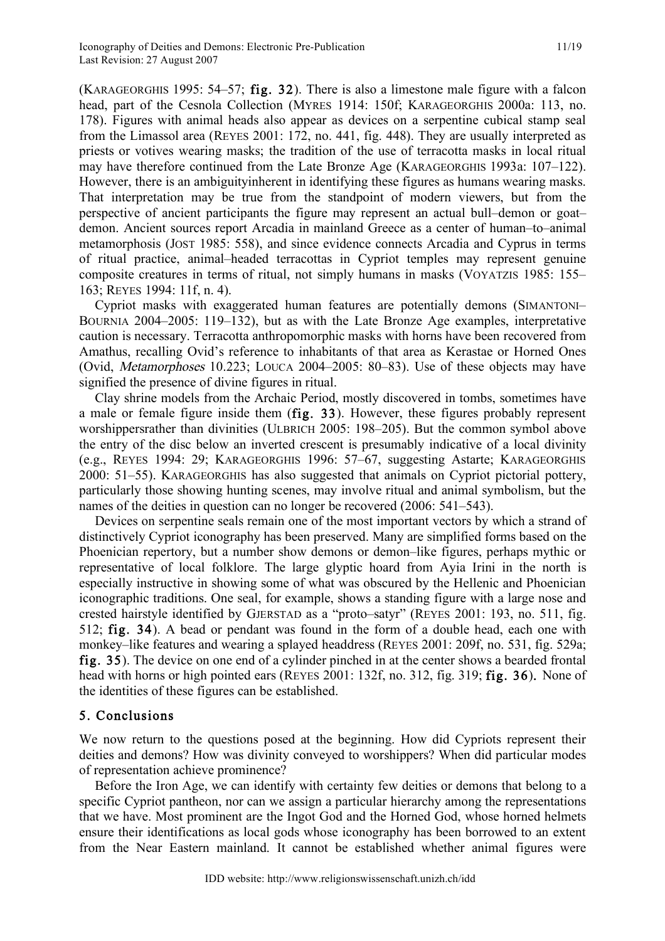(KARAGEORGHIS 1995: 54–57; fig. 32). There is also a limestone male figure with a falcon head, part of the Cesnola Collection (MYRES 1914: 150f; KARAGEORGHIS 2000a: 113, no. 178). Figures with animal heads also appear as devices on a serpentine cubical stamp seal from the Limassol area (REYES 2001: 172, no. 441, fig. 448). They are usually interpreted as priests or votives wearing masks; the tradition of the use of terracotta masks in local ritual may have therefore continued from the Late Bronze Age (KARAGEORGHIS 1993a: 107–122). However, there is an ambiguityinherent in identifying these figures as humans wearing masks. That interpretation may be true from the standpoint of modern viewers, but from the perspective of ancient participants the figure may represent an actual bull–demon or goat– demon. Ancient sources report Arcadia in mainland Greece as a center of human–to–animal metamorphosis (JOST 1985: 558), and since evidence connects Arcadia and Cyprus in terms of ritual practice, animal–headed terracottas in Cypriot temples may represent genuine composite creatures in terms of ritual, not simply humans in masks (VOYATZIS 1985: 155– 163; REYES 1994: 11f, n. 4).

Cypriot masks with exaggerated human features are potentially demons (SIMANTONI– BOURNIA 2004–2005: 119–132), but as with the Late Bronze Age examples, interpretative caution is necessary. Terracotta anthropomorphic masks with horns have been recovered from Amathus, recalling Ovid's reference to inhabitants of that area as Kerastae or Horned Ones (Ovid, Metamorphoses 10.223; LOUCA 2004–2005: 80–83). Use of these objects may have signified the presence of divine figures in ritual.

Clay shrine models from the Archaic Period, mostly discovered in tombs, sometimes have a male or female figure inside them (fig. 33). However, these figures probably represent worshippersrather than divinities (ULBRICH 2005: 198–205). But the common symbol above the entry of the disc below an inverted crescent is presumably indicative of a local divinity (e.g., REYES 1994: 29; KARAGEORGHIS 1996: 57–67, suggesting Astarte; KARAGEORGHIS 2000: 51–55). KARAGEORGHIS has also suggested that animals on Cypriot pictorial pottery, particularly those showing hunting scenes, may involve ritual and animal symbolism, but the names of the deities in question can no longer be recovered (2006: 541–543).

Devices on serpentine seals remain one of the most important vectors by which a strand of distinctively Cypriot iconography has been preserved. Many are simplified forms based on the Phoenician repertory, but a number show demons or demon–like figures, perhaps mythic or representative of local folklore. The large glyptic hoard from Ayia Irini in the north is especially instructive in showing some of what was obscured by the Hellenic and Phoenician iconographic traditions. One seal, for example, shows a standing figure with a large nose and crested hairstyle identified by GJERSTAD as a "proto–satyr" (REYES 2001: 193, no. 511, fig. 512; fig. 34). A bead or pendant was found in the form of a double head, each one with monkey–like features and wearing a splayed headdress (REYES 2001: 209f, no. 531, fig. 529a; fig. 35). The device on one end of a cylinder pinched in at the center shows a bearded frontal head with horns or high pointed ears (REYES 2001: 132f, no. 312, fig. 319; **fig. 36**). None of the identities of these figures can be established.

## 5. Conclusions

We now return to the questions posed at the beginning. How did Cypriots represent their deities and demons? How was divinity conveyed to worshippers? When did particular modes of representation achieve prominence?

Before the Iron Age, we can identify with certainty few deities or demons that belong to a specific Cypriot pantheon, nor can we assign a particular hierarchy among the representations that we have. Most prominent are the Ingot God and the Horned God, whose horned helmets ensure their identifications as local gods whose iconography has been borrowed to an extent from the Near Eastern mainland. It cannot be established whether animal figures were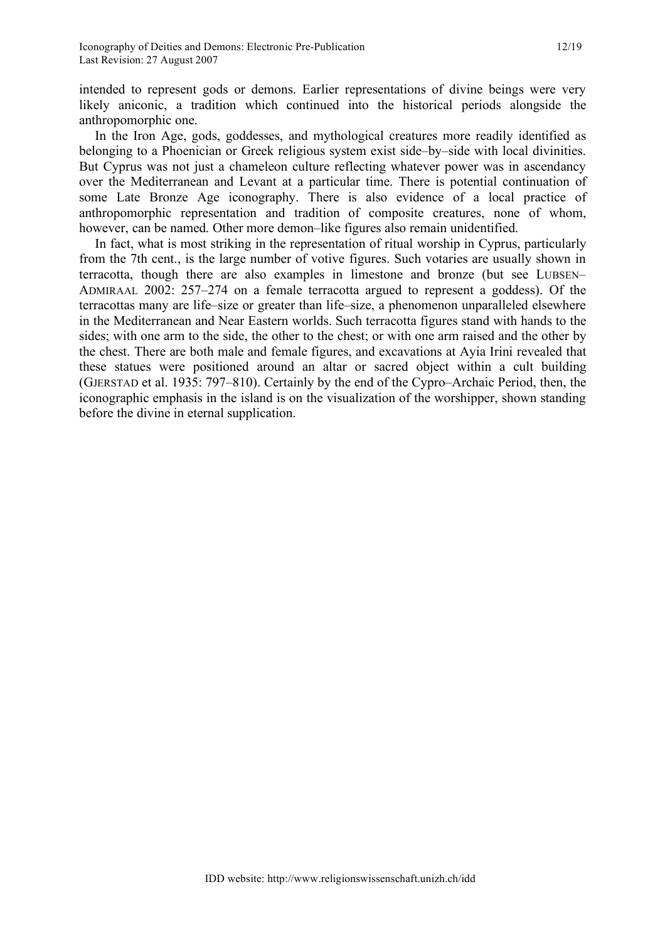intended to represent gods or demons. Earlier representations of divine beings were very likely aniconic, a tradition which continued into the historical periods alongside the anthropomorphic one.

In the Iron Age, gods, goddesses, and mythological creatures more readily identified as belonging to a Phoenician or Greek religious system exist side–by–side with local divinities. But Cyprus was not just a chameleon culture reflecting whatever power was in ascendancy over the Mediterranean and Levant at a particular time. There is potential continuation of some Late Bronze Age iconography. There is also evidence of a local practice of anthropomorphic representation and tradition of composite creatures, none of whom, however, can be named. Other more demon–like figures also remain unidentified.

In fact, what is most striking in the representation of ritual worship in Cyprus, particularly from the 7th cent., is the large number of votive figures. Such votaries are usually shown in terracotta, though there are also examples in limestone and bronze (but see LUBSEN– ADMIRAAL 2002: 257–274 on a female terracotta argued to represent a goddess). Of the terracottas many are life–size or greater than life–size, a phenomenon unparalleled elsewhere in the Mediterranean and Near Eastern worlds. Such terracotta figures stand with hands to the sides; with one arm to the side, the other to the chest; or with one arm raised and the other by the chest. There are both male and female figures, and excavations at Ayia Irini revealed that these statues were positioned around an altar or sacred object within a cult building (GJERSTAD et al. 1935: 797–810). Certainly by the end of the Cypro–Archaic Period, then, the iconographic emphasis in the island is on the visualization of the worshipper, shown standing before the divine in eternal supplication.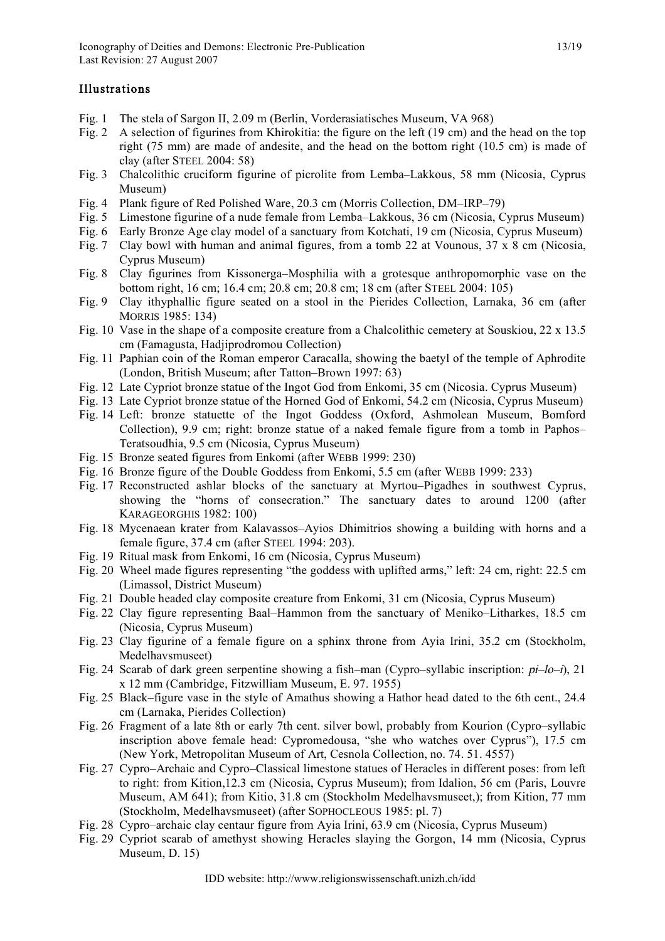### **Illustrations**

- Fig. 1 The stela of Sargon II, 2.09 m (Berlin, Vorderasiatisches Museum, VA 968)
- Fig. 2 A selection of figurines from Khirokitia: the figure on the left (19 cm) and the head on the top right (75 mm) are made of andesite, and the head on the bottom right (10.5 cm) is made of clay (after STEEL 2004: 58)
- Fig. 3 Chalcolithic cruciform figurine of picrolite from Lemba–Lakkous, 58 mm (Nicosia, Cyprus Museum)
- Fig. 4 Plank figure of Red Polished Ware, 20.3 cm (Morris Collection, DM–IRP–79)
- Fig. 5 Limestone figurine of a nude female from Lemba–Lakkous, 36 cm (Nicosia, Cyprus Museum)
- Fig. 6 Early Bronze Age clay model of a sanctuary from Kotchati, 19 cm (Nicosia, Cyprus Museum)
- Fig. 7 Clay bowl with human and animal figures, from a tomb 22 at Vounous, 37 x 8 cm (Nicosia, Cyprus Museum)
- Fig. 8 Clay figurines from Kissonerga–Mosphilia with a grotesque anthropomorphic vase on the bottom right, 16 cm; 16.4 cm; 20.8 cm; 20.8 cm; 18 cm (after STEEL 2004: 105)
- Fig. 9 Clay ithyphallic figure seated on a stool in the Pierides Collection, Larnaka, 36 cm (after MORRIS 1985: 134)
- Fig. 10 Vase in the shape of a composite creature from a Chalcolithic cemetery at Souskiou, 22 x 13.5 cm (Famagusta, Hadjiprodromou Collection)
- Fig. 11 Paphian coin of the Roman emperor Caracalla, showing the baetyl of the temple of Aphrodite (London, British Museum; after Tatton–Brown 1997: 63)
- Fig. 12 Late Cypriot bronze statue of the Ingot God from Enkomi, 35 cm (Nicosia. Cyprus Museum)
- Fig. 13 Late Cypriot bronze statue of the Horned God of Enkomi, 54.2 cm (Nicosia, Cyprus Museum)
- Fig. 14 Left: bronze statuette of the Ingot Goddess (Oxford, Ashmolean Museum, Bomford Collection), 9.9 cm; right: bronze statue of a naked female figure from a tomb in Paphos– Teratsoudhia, 9.5 cm (Nicosia, Cyprus Museum)
- Fig. 15 Bronze seated figures from Enkomi (after WEBB 1999: 230)
- Fig. 16 Bronze figure of the Double Goddess from Enkomi, 5.5 cm (after WEBB 1999: 233)
- Fig. 17 Reconstructed ashlar blocks of the sanctuary at Myrtou–Pigadhes in southwest Cyprus, showing the "horns of consecration." The sanctuary dates to around 1200 (after KARAGEORGHIS 1982: 100)
- Fig. 18 Mycenaean krater from Kalavassos–Ayios Dhimitrios showing a building with horns and a female figure, 37.4 cm (after STEEL 1994: 203).
- Fig. 19 Ritual mask from Enkomi, 16 cm (Nicosia, Cyprus Museum)
- Fig. 20 Wheel made figures representing "the goddess with uplifted arms," left: 24 cm, right: 22.5 cm (Limassol, District Museum)
- Fig. 21 Double headed clay composite creature from Enkomi, 31 cm (Nicosia, Cyprus Museum)
- Fig. 22 Clay figure representing Baal–Hammon from the sanctuary of Meniko–Litharkes, 18.5 cm (Nicosia, Cyprus Museum)
- Fig. 23 Clay figurine of a female figure on a sphinx throne from Ayia Irini, 35.2 cm (Stockholm, Medelhavsmuseet)
- Fig. 24 Scarab of dark green serpentine showing a fish–man (Cypro–syllabic inscription:  $pi$ –lo–i), 21 x 12 mm (Cambridge, Fitzwilliam Museum, E. 97. 1955)
- Fig. 25 Black–figure vase in the style of Amathus showing a Hathor head dated to the 6th cent., 24.4 cm (Larnaka, Pierides Collection)
- Fig. 26 Fragment of a late 8th or early 7th cent. silver bowl, probably from Kourion (Cypro–syllabic inscription above female head: Cypromedousa, "she who watches over Cyprus"), 17.5 cm (New York, Metropolitan Museum of Art, Cesnola Collection, no. 74. 51. 4557)
- Fig. 27 Cypro–Archaic and Cypro–Classical limestone statues of Heracles in different poses: from left to right: from Kition,12.3 cm (Nicosia, Cyprus Museum); from Idalion, 56 cm (Paris, Louvre Museum, AM 641); from Kitio, 31.8 cm (Stockholm Medelhavsmuseet,); from Kition, 77 mm (Stockholm, Medelhavsmuseet) (after SOPHOCLEOUS 1985: pl. 7)
- Fig. 28 Cypro–archaic clay centaur figure from Ayia Irini, 63.9 cm (Nicosia, Cyprus Museum)
- Fig. 29 Cypriot scarab of amethyst showing Heracles slaying the Gorgon, 14 mm (Nicosia, Cyprus Museum, D. 15)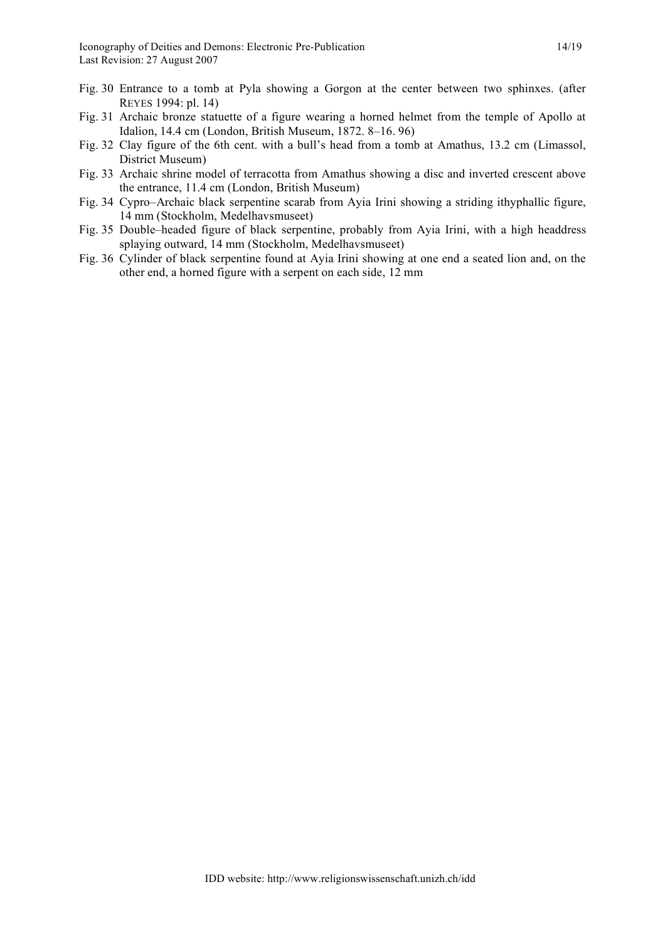- Fig. 30 Entrance to a tomb at Pyla showing a Gorgon at the center between two sphinxes. (after REYES 1994: pl. 14)
- Fig. 31 Archaic bronze statuette of a figure wearing a horned helmet from the temple of Apollo at Idalion, 14.4 cm (London, British Museum, 1872. 8–16. 96)
- Fig. 32 Clay figure of the 6th cent. with a bull's head from a tomb at Amathus, 13.2 cm (Limassol, District Museum)
- Fig. 33 Archaic shrine model of terracotta from Amathus showing a disc and inverted crescent above the entrance, 11.4 cm (London, British Museum)
- Fig. 34 Cypro–Archaic black serpentine scarab from Ayia Irini showing a striding ithyphallic figure, 14 mm (Stockholm, Medelhavsmuseet)
- Fig. 35 Double–headed figure of black serpentine, probably from Ayia Irini, with a high headdress splaying outward, 14 mm (Stockholm, Medelhavsmuseet)
- Fig. 36 Cylinder of black serpentine found at Ayia Irini showing at one end a seated lion and, on the other end, a horned figure with a serpent on each side, 12 mm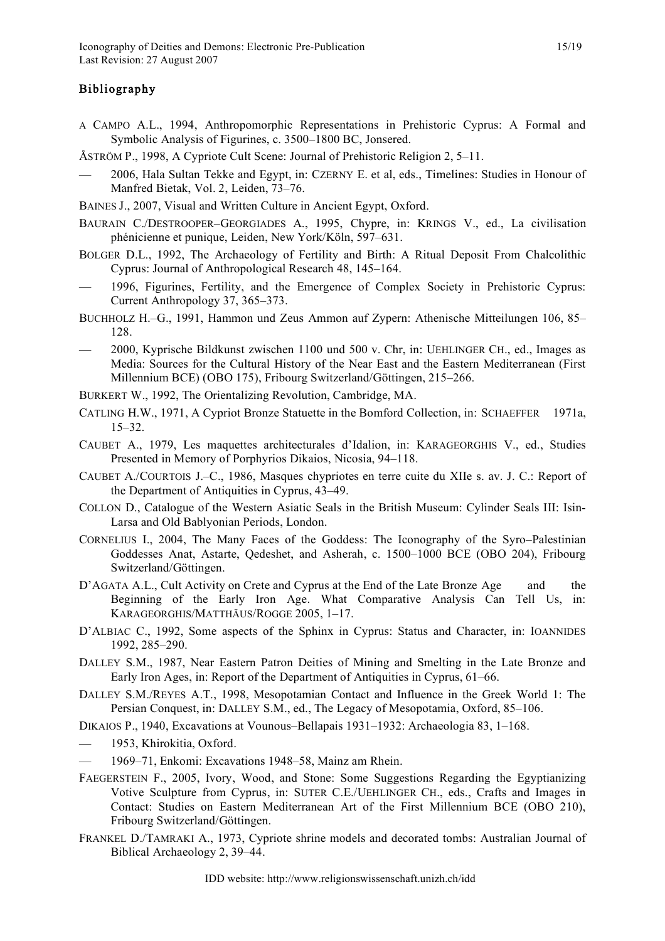#### **Bibliography**

- A CAMPO A.L., 1994, Anthropomorphic Representations in Prehistoric Cyprus: A Formal and Symbolic Analysis of Figurines, c. 3500–1800 BC, Jonsered.
- ÅSTRÖM P., 1998, A Cypriote Cult Scene: Journal of Prehistoric Religion 2, 5–11.
- 2006, Hala Sultan Tekke and Egypt, in: CZERNY E. et al, eds., Timelines: Studies in Honour of Manfred Bietak, Vol. 2, Leiden, 73–76.
- BAINES J., 2007, Visual and Written Culture in Ancient Egypt, Oxford.
- BAURAIN C./DESTROOPER–GEORGIADES A., 1995, Chypre, in: KRINGS V., ed., La civilisation phénicienne et punique, Leiden, New York/Köln, 597–631.
- BOLGER D.L., 1992, The Archaeology of Fertility and Birth: A Ritual Deposit From Chalcolithic Cyprus: Journal of Anthropological Research 48, 145–164.
- 1996, Figurines, Fertility, and the Emergence of Complex Society in Prehistoric Cyprus: Current Anthropology 37, 365–373.
- BUCHHOLZ H.–G., 1991, Hammon und Zeus Ammon auf Zypern: Athenische Mitteilungen 106, 85– 128.
- 2000, Kyprische Bildkunst zwischen 1100 und 500 v. Chr, in: UEHLINGER CH., ed., Images as Media: Sources for the Cultural History of the Near East and the Eastern Mediterranean (First Millennium BCE) (OBO 175), Fribourg Switzerland/Göttingen, 215–266.
- BURKERT W., 1992, The Orientalizing Revolution, Cambridge, MA.
- CATLING H.W., 1971, A Cypriot Bronze Statuette in the Bomford Collection, in: SCHAEFFER 1971a, 15–32.
- CAUBET A., 1979, Les maquettes architecturales d'Idalion, in: KARAGEORGHIS V., ed., Studies Presented in Memory of Porphyrios Dikaios, Nicosia, 94–118.
- CAUBET A./COURTOIS J.–C., 1986, Masques chypriotes en terre cuite du XIIe s. av. J. C.: Report of the Department of Antiquities in Cyprus, 43–49.
- COLLON D., Catalogue of the Western Asiatic Seals in the British Museum: Cylinder Seals III: Isin-Larsa and Old Bablyonian Periods, London.
- CORNELIUS I., 2004, The Many Faces of the Goddess: The Iconography of the Syro–Palestinian Goddesses Anat, Astarte, Qedeshet, and Asherah, c. 1500–1000 BCE (OBO 204), Fribourg Switzerland/Göttingen.
- D'AGATA A.L., Cult Activity on Crete and Cyprus at the End of the Late Bronze Age and the Beginning of the Early Iron Age. What Comparative Analysis Can Tell Us, in: KARAGEORGHIS/MATTHÄUS/ROGGE 2005, 1–17.
- D'ALBIAC C., 1992, Some aspects of the Sphinx in Cyprus: Status and Character, in: IOANNIDES 1992, 285–290.
- DALLEY S.M., 1987, Near Eastern Patron Deities of Mining and Smelting in the Late Bronze and Early Iron Ages, in: Report of the Department of Antiquities in Cyprus, 61–66.
- DALLEY S.M./REYES A.T., 1998, Mesopotamian Contact and Influence in the Greek World 1: The Persian Conquest, in: DALLEY S.M., ed., The Legacy of Mesopotamia, Oxford, 85–106.
- DIKAIOS P., 1940, Excavations at Vounous–Bellapais 1931–1932: Archaeologia 83, 1–168.
- 1953, Khirokitia, Oxford.
- 1969–71, Enkomi: Excavations 1948–58, Mainz am Rhein.
- FAEGERSTEIN F., 2005, Ivory, Wood, and Stone: Some Suggestions Regarding the Egyptianizing Votive Sculpture from Cyprus, in: SUTER C.E./UEHLINGER CH., eds., Crafts and Images in Contact: Studies on Eastern Mediterranean Art of the First Millennium BCE (OBO 210), Fribourg Switzerland/Göttingen.
- FRANKEL D./TAMRAKI A., 1973, Cypriote shrine models and decorated tombs: Australian Journal of Biblical Archaeology 2, 39–44.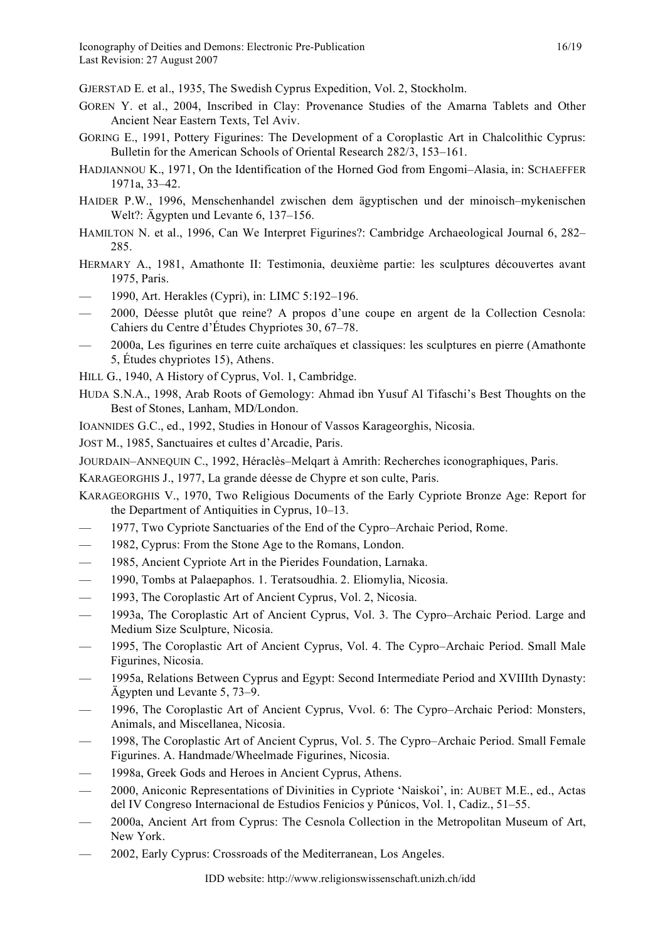GJERSTAD E. et al., 1935, The Swedish Cyprus Expedition, Vol. 2, Stockholm.

- GOREN Y. et al., 2004, Inscribed in Clay: Provenance Studies of the Amarna Tablets and Other Ancient Near Eastern Texts, Tel Aviv.
- GORING E., 1991, Pottery Figurines: The Development of a Coroplastic Art in Chalcolithic Cyprus: Bulletin for the American Schools of Oriental Research 282/3, 153–161.
- HADJIANNOU K., 1971, On the Identification of the Horned God from Engomi–Alasia, in: SCHAEFFER 1971a, 33–42.
- HAIDER P.W., 1996, Menschenhandel zwischen dem ägyptischen und der minoisch–mykenischen Welt?: Ägypten und Levante 6, 137–156.
- HAMILTON N. et al., 1996, Can We Interpret Figurines?: Cambridge Archaeological Journal 6, 282– 285.
- HERMARY A., 1981, Amathonte II: Testimonia, deuxième partie: les sculptures découvertes avant 1975, Paris.
- 1990, Art. Herakles (Cypri), in: LIMC 5:192–196.
- 2000, Déesse plutôt que reine? A propos d'une coupe en argent de la Collection Cesnola: Cahiers du Centre d'Études Chypriotes 30, 67–78.
- 2000a, Les figurines en terre cuite archaïques et classiques: les sculptures en pierre (Amathonte 5, Études chypriotes 15), Athens.
- HILL G., 1940, A History of Cyprus, Vol. 1, Cambridge.
- HUDA S.N.A., 1998, Arab Roots of Gemology: Ahmad ibn Yusuf Al Tifaschi's Best Thoughts on the Best of Stones, Lanham, MD/London.
- IOANNIDES G.C., ed., 1992, Studies in Honour of Vassos Karageorghis, Nicosia.

JOST M., 1985, Sanctuaires et cultes d'Arcadie, Paris.

JOURDAIN–ANNEQUIN C., 1992, Héraclès–Melqart à Amrith: Recherches iconographiques, Paris.

KARAGEORGHIS J., 1977, La grande déesse de Chypre et son culte, Paris.

- KARAGEORGHIS V., 1970, Two Religious Documents of the Early Cypriote Bronze Age: Report for the Department of Antiquities in Cyprus, 10–13.
- 1977, Two Cypriote Sanctuaries of the End of the Cypro–Archaic Period, Rome.
- 1982, Cyprus: From the Stone Age to the Romans, London.
- 1985, Ancient Cypriote Art in the Pierides Foundation, Larnaka.
- 1990, Tombs at Palaepaphos. 1. Teratsoudhia. 2. Eliomylia, Nicosia.
- 1993, The Coroplastic Art of Ancient Cyprus, Vol. 2, Nicosia.
- 1993a, The Coroplastic Art of Ancient Cyprus, Vol. 3. The Cypro–Archaic Period. Large and Medium Size Sculpture, Nicosia.
- 1995, The Coroplastic Art of Ancient Cyprus, Vol. 4. The Cypro–Archaic Period. Small Male Figurines, Nicosia.
- 1995a, Relations Between Cyprus and Egypt: Second Intermediate Period and XVIIIth Dynasty: Ägypten und Levante 5, 73–9.
- 1996, The Coroplastic Art of Ancient Cyprus, Vvol. 6: The Cypro–Archaic Period: Monsters, Animals, and Miscellanea, Nicosia.
- 1998, The Coroplastic Art of Ancient Cyprus, Vol. 5. The Cypro–Archaic Period. Small Female Figurines. A. Handmade/Wheelmade Figurines, Nicosia.
- 1998a, Greek Gods and Heroes in Ancient Cyprus, Athens.
- 2000, Aniconic Representations of Divinities in Cypriote 'Naiskoi', in: AUBET M.E., ed., Actas del IV Congreso Internacional de Estudios Fenicios y Púnicos, Vol. 1, Cadiz., 51–55.
- 2000a, Ancient Art from Cyprus: The Cesnola Collection in the Metropolitan Museum of Art, New York.
- 2002, Early Cyprus: Crossroads of the Mediterranean, Los Angeles.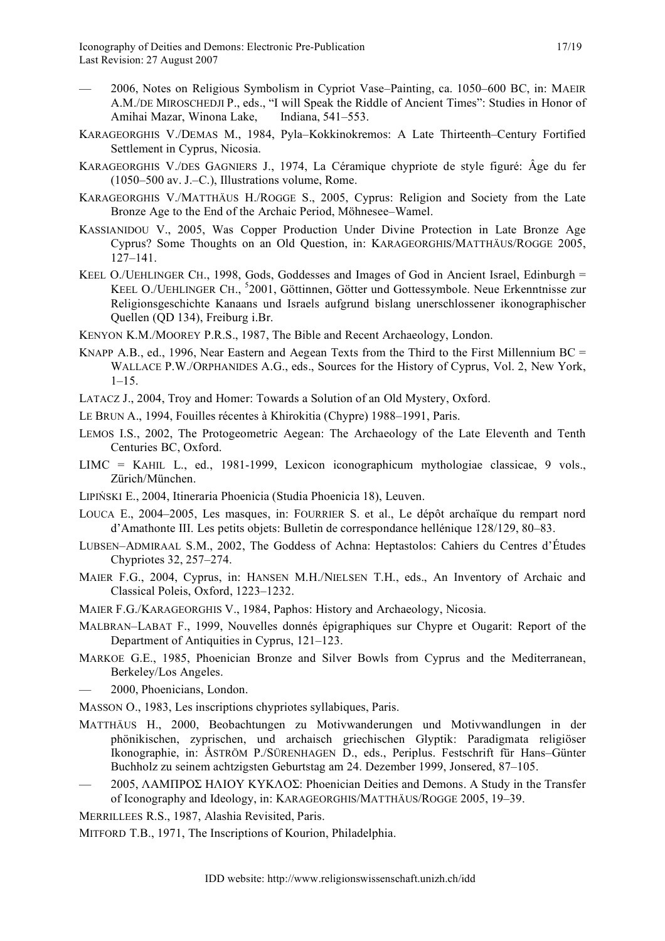- 2006, Notes on Religious Symbolism in Cypriot Vase–Painting, ca. 1050–600 BC, in: MAEIR A.M./DE MIROSCHEDJI P., eds., "I will Speak the Riddle of Ancient Times": Studies in Honor of Amihai Mazar, Winona Lake, Indiana, 541–553.
- KARAGEORGHIS V./DEMAS M., 1984, Pyla–Kokkinokremos: A Late Thirteenth–Century Fortified Settlement in Cyprus, Nicosia.
- KARAGEORGHIS V./DES GAGNIERS J., 1974, La Céramique chypriote de style figuré: Âge du fer (1050–500 av. J.–C.), Illustrations volume, Rome.
- KARAGEORGHIS V./MATTHÄUS H./ROGGE S., 2005, Cyprus: Religion and Society from the Late Bronze Age to the End of the Archaic Period, Möhnesee–Wamel.
- KASSIANIDOU V., 2005, Was Copper Production Under Divine Protection in Late Bronze Age Cyprus? Some Thoughts on an Old Question, in: KARAGEORGHIS/MATTHÄUS/ROGGE 2005, 127–141.
- KEEL O./UEHLINGER CH., 1998, Gods, Goddesses and Images of God in Ancient Israel, Edinburgh = KEEL O./UEHLINGER CH., <sup>5</sup>2001, Göttinnen, Götter und Gottessymbole. Neue Erkenntnisse zur Religionsgeschichte Kanaans und Israels aufgrund bislang unerschlossener ikonographischer Quellen (QD 134), Freiburg i.Br.
- KENYON K.M./MOOREY P.R.S., 1987, The Bible and Recent Archaeology, London.
- KNAPP A.B., ed., 1996, Near Eastern and Aegean Texts from the Third to the First Millennium BC = WALLACE P.W./ORPHANIDES A.G., eds., Sources for the History of Cyprus, Vol. 2, New York,  $1-15$ .
- LATACZ J., 2004, Troy and Homer: Towards a Solution of an Old Mystery, Oxford.
- LE BRUN A., 1994, Fouilles récentes à Khirokitia (Chypre) 1988–1991, Paris.
- LEMOS I.S., 2002, The Protogeometric Aegean: The Archaeology of the Late Eleventh and Tenth Centuries BC, Oxford.
- LIMC = KAHIL L., ed., 1981-1999, Lexicon iconographicum mythologiae classicae, 9 vols., Zürich/München.
- LIPIŃSKI E., 2004, Itineraria Phoenicia (Studia Phoenicia 18), Leuven.
- LOUCA E., 2004–2005, Les masques, in: FOURRIER S. et al., Le dépôt archaïque du rempart nord d'Amathonte III. Les petits objets: Bulletin de correspondance hellénique 128/129, 80–83.
- LUBSEN–ADMIRAAL S.M., 2002, The Goddess of Achna: Heptastolos: Cahiers du Centres d'Études Chypriotes 32, 257–274.
- MAIER F.G., 2004, Cyprus, in: HANSEN M.H./NIELSEN T.H., eds., An Inventory of Archaic and Classical Poleis, Oxford, 1223–1232.
- MAIER F.G./KARAGEORGHIS V., 1984, Paphos: History and Archaeology, Nicosia.
- MALBRAN–LABAT F., 1999, Nouvelles donnés épigraphiques sur Chypre et Ougarit: Report of the Department of Antiquities in Cyprus, 121–123.
- MARKOE G.E., 1985, Phoenician Bronze and Silver Bowls from Cyprus and the Mediterranean, Berkeley/Los Angeles.
- 2000, Phoenicians, London.
- MASSON O., 1983, Les inscriptions chypriotes syllabiques, Paris.
- MATTHÄUS H., 2000, Beobachtungen zu Motivwanderungen und Motivwandlungen in der phönikischen, zyprischen, und archaisch griechischen Glyptik: Paradigmata religiöser Ikonographie, in: ÅSTRÖM P./SÜRENHAGEN D., eds., Periplus. Festschrift für Hans–Günter Buchholz zu seinem achtzigsten Geburtstag am 24. Dezember 1999, Jonsered, 87–105.
- 2005, ΛΑΜΠΡΟΣ ΗΛΙΟΥ ΚΥΚΛΟΣ: Phoenician Deities and Demons. A Study in the Transfer of Iconography and Ideology, in: KARAGEORGHIS/MATTHÄUS/ROGGE 2005, 19–39.

MERRILLEES R.S., 1987, Alashia Revisited, Paris.

MITFORD T.B., 1971, The Inscriptions of Kourion, Philadelphia.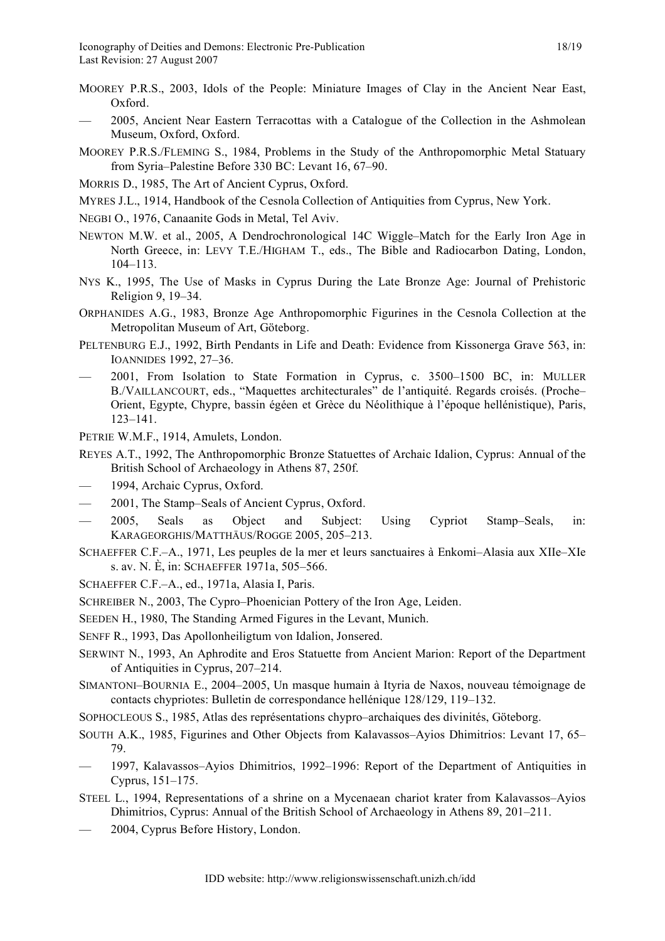- MOOREY P.R.S., 2003, Idols of the People: Miniature Images of Clay in the Ancient Near East, Oxford.
- 2005, Ancient Near Eastern Terracottas with a Catalogue of the Collection in the Ashmolean Museum, Oxford, Oxford.
- MOOREY P.R.S./FLEMING S., 1984, Problems in the Study of the Anthropomorphic Metal Statuary from Syria–Palestine Before 330 BC: Levant 16, 67–90.
- MORRIS D., 1985, The Art of Ancient Cyprus, Oxford.
- MYRES J.L., 1914, Handbook of the Cesnola Collection of Antiquities from Cyprus, New York.
- NEGBI O., 1976, Canaanite Gods in Metal, Tel Aviv.
- NEWTON M.W. et al., 2005, A Dendrochronological 14C Wiggle–Match for the Early Iron Age in North Greece, in: LEVY T.E./HIGHAM T., eds., The Bible and Radiocarbon Dating, London, 104–113.
- NYS K., 1995, The Use of Masks in Cyprus During the Late Bronze Age: Journal of Prehistoric Religion 9, 19–34.
- ORPHANIDES A.G., 1983, Bronze Age Anthropomorphic Figurines in the Cesnola Collection at the Metropolitan Museum of Art, Göteborg.
- PELTENBURG E.J., 1992, Birth Pendants in Life and Death: Evidence from Kissonerga Grave 563, in: IOANNIDES 1992, 27–36.
- 2001, From Isolation to State Formation in Cyprus, c. 3500–1500 BC, in: MULLER B./VAILLANCOURT, eds., "Maquettes architecturales" de l'antiquité. Regards croisés. (Proche– Orient, Egypte, Chypre, bassin égéen et Grèce du Néolithique à l'époque hellénistique), Paris, 123–141.

PETRIE W.M.F., 1914, Amulets, London.

REYES A.T., 1992, The Anthropomorphic Bronze Statuettes of Archaic Idalion, Cyprus: Annual of the British School of Archaeology in Athens 87, 250f.

- 1994, Archaic Cyprus, Oxford.
- 2001, The Stamp–Seals of Ancient Cyprus, Oxford.
- 2005, Seals as Object and Subject: Using Cypriot Stamp–Seals, in: KARAGEORGHIS/MATTHÄUS/ROGGE 2005, 205–213.
- SCHAEFFER C.F.–A., 1971, Les peuples de la mer et leurs sanctuaires à Enkomi–Alasia aux XIIe–XIe s. av. N. È, in: SCHAEFFER 1971a, 505–566.
- SCHAEFFER C.F.–A., ed., 1971a, Alasia I, Paris.
- SCHREIBER N., 2003, The Cypro–Phoenician Pottery of the Iron Age, Leiden.

SEEDEN H., 1980, The Standing Armed Figures in the Levant, Munich.

- SENFF R., 1993, Das Apollonheiligtum von Idalion, Jonsered.
- SERWINT N., 1993, An Aphrodite and Eros Statuette from Ancient Marion: Report of the Department of Antiquities in Cyprus, 207–214.
- SIMANTONI–BOURNIA E., 2004–2005, Un masque humain à Ityria de Naxos, nouveau témoignage de contacts chypriotes: Bulletin de correspondance hellénique 128/129, 119–132.
- SOPHOCLEOUS S., 1985, Atlas des représentations chypro–archaiques des divinités, Göteborg.
- SOUTH A.K., 1985, Figurines and Other Objects from Kalavassos–Ayios Dhimitrios: Levant 17, 65– 79.
- 1997, Kalavassos–Ayios Dhimitrios, 1992–1996: Report of the Department of Antiquities in Cyprus, 151–175.
- STEEL L., 1994, Representations of a shrine on a Mycenaean chariot krater from Kalavassos–Ayios Dhimitrios, Cyprus: Annual of the British School of Archaeology in Athens 89, 201–211.
- 2004, Cyprus Before History, London.